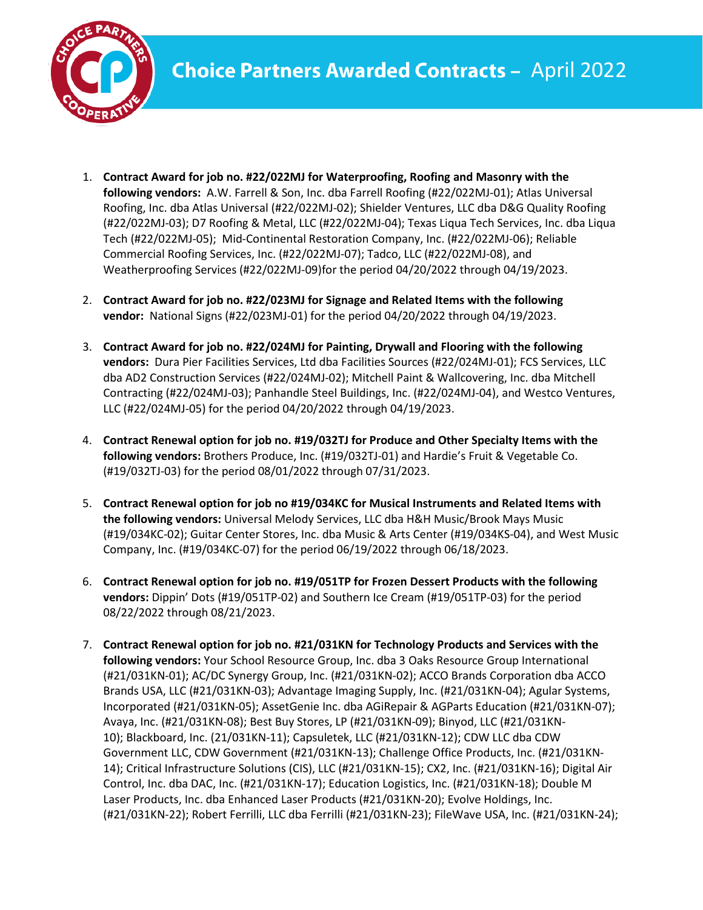

- 1. **Contract Award for job no. #22/022MJ for Waterproofing, Roofing and Masonry with the following vendors:** A.W. Farrell & Son, Inc. dba Farrell Roofing (#22/022MJ-01); Atlas Universal Roofing, Inc. dba Atlas Universal (#22/022MJ-02); Shielder Ventures, LLC dba D&G Quality Roofing (#22/022MJ-03); D7 Roofing & Metal, LLC (#22/022MJ-04); Texas Liqua Tech Services, Inc. dba Liqua Tech (#22/022MJ-05); Mid-Continental Restoration Company, Inc. (#22/022MJ-06); Reliable Commercial Roofing Services, Inc. (#22/022MJ-07); Tadco, LLC (#22/022MJ-08), and Weatherproofing Services (#22/022MJ-09)for the period 04/20/2022 through 04/19/2023.
- 2. **Contract Award for job no. #22/023MJ for Signage and Related Items with the following vendor:** National Signs (#22/023MJ-01) for the period 04/20/2022 through 04/19/2023.
- 3. **Contract Award for job no. #22/024MJ for Painting, Drywall and Flooring with the following vendors:** Dura Pier Facilities Services, Ltd dba Facilities Sources (#22/024MJ-01); FCS Services, LLC dba AD2 Construction Services (#22/024MJ-02); Mitchell Paint & Wallcovering, Inc. dba Mitchell Contracting (#22/024MJ-03); Panhandle Steel Buildings, Inc. (#22/024MJ-04), and Westco Ventures, LLC (#22/024MJ-05) for the period 04/20/2022 through 04/19/2023.
- 4. **Contract Renewal option for job no. #19/032TJ for Produce and Other Specialty Items with the following vendors:** Brothers Produce, Inc. (#19/032TJ-01) and Hardie's Fruit & Vegetable Co. (#19/032TJ-03) for the period 08/01/2022 through 07/31/2023.
- 5. **Contract Renewal option for job no #19/034KC for Musical Instruments and Related Items with the following vendors:** Universal Melody Services, LLC dba H&H Music/Brook Mays Music (#19/034KC-02); Guitar Center Stores, Inc. dba Music & Arts Center (#19/034KS-04), and West Music Company, Inc. (#19/034KC-07) for the period 06/19/2022 through 06/18/2023.
- 6. **Contract Renewal option for job no. #19/051TP for Frozen Dessert Products with the following vendors:** Dippin' Dots (#19/051TP-02) and Southern Ice Cream (#19/051TP-03) for the period 08/22/2022 through 08/21/2023.
- 7. **Contract Renewal option for job no. #21/031KN for Technology Products and Services with the following vendors:** Your School Resource Group, Inc. dba 3 Oaks Resource Group International (#21/031KN-01); AC/DC Synergy Group, Inc. (#21/031KN-02); ACCO Brands Corporation dba ACCO Brands USA, LLC (#21/031KN-03); Advantage Imaging Supply, Inc. (#21/031KN-04); Agular Systems, Incorporated (#21/031KN-05); AssetGenie Inc. dba AGiRepair & AGParts Education (#21/031KN-07); Avaya, Inc. (#21/031KN-08); Best Buy Stores, LP (#21/031KN-09); Binyod, LLC (#21/031KN-10); Blackboard, Inc. (21/031KN-11); Capsuletek, LLC (#21/031KN-12); CDW LLC dba CDW Government LLC, CDW Government (#21/031KN-13); Challenge Office Products, Inc. (#21/031KN-14); Critical Infrastructure Solutions (CIS), LLC (#21/031KN-15); CX2, Inc. (#21/031KN-16); Digital Air Control, Inc. dba DAC, Inc. (#21/031KN-17); Education Logistics, Inc. (#21/031KN-18); Double M Laser Products, Inc. dba Enhanced Laser Products (#21/031KN-20); Evolve Holdings, Inc. (#21/031KN-22); Robert Ferrilli, LLC dba Ferrilli (#21/031KN-23); FileWave USA, Inc. (#21/031KN-24);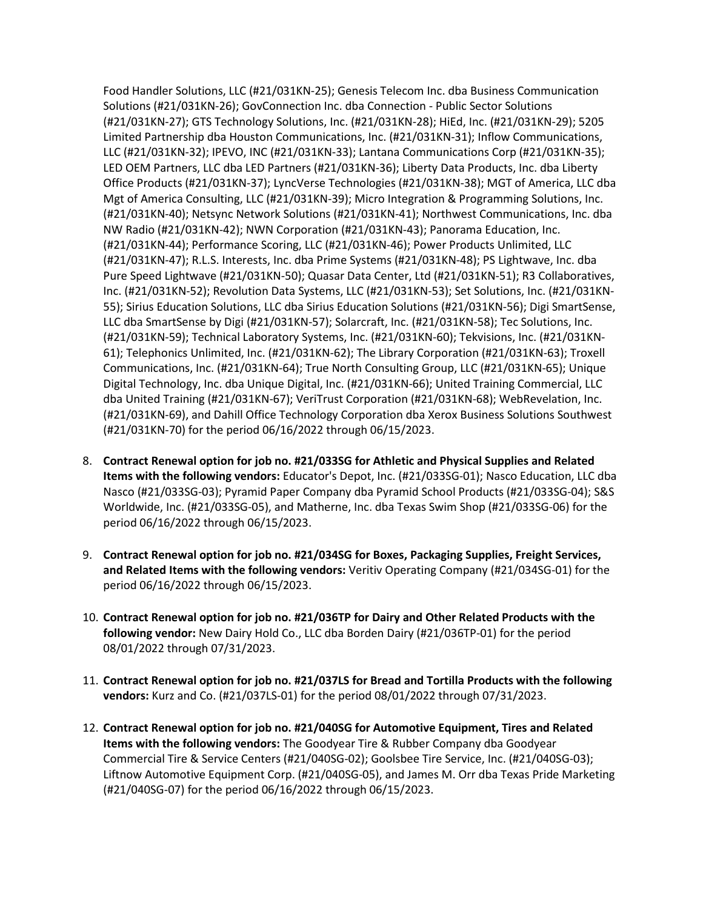Food Handler Solutions, LLC (#21/031KN-25); Genesis Telecom Inc. dba Business Communication Solutions (#21/031KN-26); GovConnection Inc. dba Connection - Public Sector Solutions (#21/031KN-27); GTS Technology Solutions, Inc. (#21/031KN-28); HiEd, Inc. (#21/031KN-29); 5205 Limited Partnership dba Houston Communications, Inc. (#21/031KN-31); Inflow Communications, LLC (#21/031KN-32); IPEVO, INC (#21/031KN-33); Lantana Communications Corp (#21/031KN-35); LED OEM Partners, LLC dba LED Partners (#21/031KN-36); Liberty Data Products, Inc. dba Liberty Office Products (#21/031KN-37); LyncVerse Technologies (#21/031KN-38); MGT of America, LLC dba Mgt of America Consulting, LLC (#21/031KN-39); Micro Integration & Programming Solutions, Inc. (#21/031KN-40); Netsync Network Solutions (#21/031KN-41); Northwest Communications, Inc. dba NW Radio (#21/031KN-42); NWN Corporation (#21/031KN-43); Panorama Education, Inc. (#21/031KN-44); Performance Scoring, LLC (#21/031KN-46); Power Products Unlimited, LLC (#21/031KN-47); R.L.S. Interests, Inc. dba Prime Systems (#21/031KN-48); PS Lightwave, Inc. dba Pure Speed Lightwave (#21/031KN-50); Quasar Data Center, Ltd (#21/031KN-51); R3 Collaboratives, Inc. (#21/031KN-52); Revolution Data Systems, LLC (#21/031KN-53); Set Solutions, Inc. (#21/031KN-55); Sirius Education Solutions, LLC dba Sirius Education Solutions (#21/031KN-56); Digi SmartSense, LLC dba SmartSense by Digi (#21/031KN-57); Solarcraft, Inc. (#21/031KN-58); Tec Solutions, Inc. (#21/031KN-59); Technical Laboratory Systems, Inc. (#21/031KN-60); Tekvisions, Inc. (#21/031KN-61); Telephonics Unlimited, Inc. (#21/031KN-62); The Library Corporation (#21/031KN-63); Troxell Communications, Inc. (#21/031KN-64); True North Consulting Group, LLC (#21/031KN-65); Unique Digital Technology, Inc. dba Unique Digital, Inc. (#21/031KN-66); United Training Commercial, LLC dba United Training (#21/031KN-67); VeriTrust Corporation (#21/031KN-68); WebRevelation, Inc. (#21/031KN-69), and Dahill Office Technology Corporation dba Xerox Business Solutions Southwest (#21/031KN-70) for the period 06/16/2022 through 06/15/2023.

- 8. **Contract Renewal option for job no. #21/033SG for Athletic and Physical Supplies and Related Items with the following vendors:** Educator's Depot, Inc. (#21/033SG-01); Nasco Education, LLC dba Nasco (#21/033SG-03); Pyramid Paper Company dba Pyramid School Products (#21/033SG-04); S&S Worldwide, Inc. (#21/033SG-05), and Matherne, Inc. dba Texas Swim Shop (#21/033SG-06) for the period 06/16/2022 through 06/15/2023.
- 9. **Contract Renewal option for job no. #21/034SG for Boxes, Packaging Supplies, Freight Services, and Related Items with the following vendors:** Veritiv Operating Company (#21/034SG-01) for the period 06/16/2022 through 06/15/2023.
- 10. **Contract Renewal option for job no. #21/036TP for Dairy and Other Related Products with the following vendor:** New Dairy Hold Co., LLC dba Borden Dairy (#21/036TP-01) for the period 08/01/2022 through 07/31/2023.
- 11. **Contract Renewal option for job no. #21/037LS for Bread and Tortilla Products with the following vendors:** Kurz and Co. (#21/037LS-01) for the period 08/01/2022 through 07/31/2023.
- 12. **Contract Renewal option for job no. #21/040SG for Automotive Equipment, Tires and Related Items with the following vendors:** The Goodyear Tire & Rubber Company dba Goodyear Commercial Tire & Service Centers (#21/040SG-02); Goolsbee Tire Service, Inc. (#21/040SG-03); Liftnow Automotive Equipment Corp. (#21/040SG-05), and James M. Orr dba Texas Pride Marketing (#21/040SG-07) for the period 06/16/2022 through 06/15/2023.